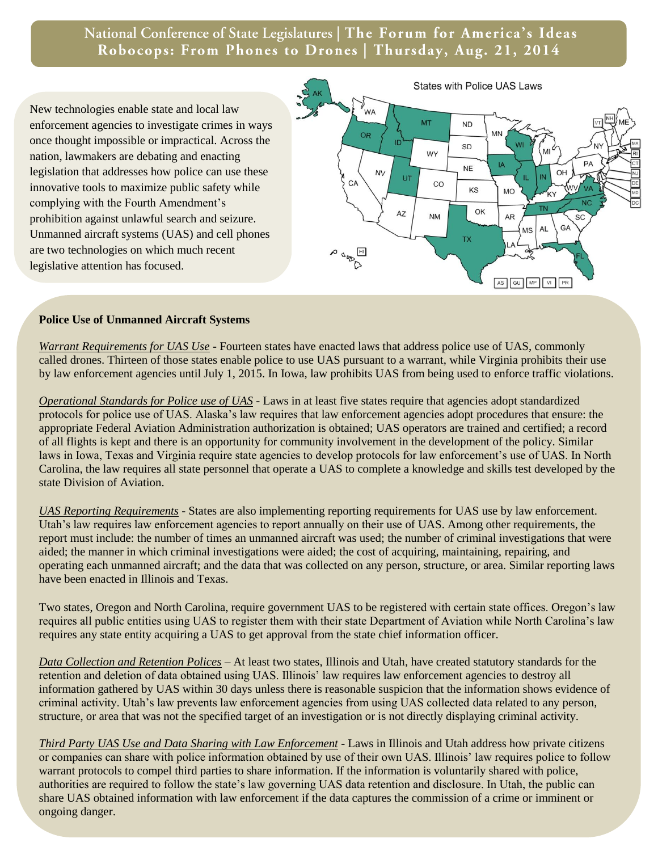National Conference of State Legislatures | The Forum for America's Ideas Robocops: From Phones to Drones | Thursday, Aug. 21, 2014

New technologies enable state and local law enforcement agencies to investigate crimes in ways once thought impossible or impractical. Across the nation, lawmakers are debating and enacting legislation that addresses how police can use these innovative tools to maximize public safety while complying with the Fourth Amendment's prohibition against unlawful search and seizure. Unmanned aircraft systems (UAS) and cell phones are two technologies on which much recent legislative attention has focused.



## **Police Use of Unmanned Aircraft Systems**

*Warrant Requirements for UAS Use* - Fourteen states have enacted laws that address police use of UAS, commonly called drones. Thirteen of those states enable police to use UAS pursuant to a warrant, while Virginia prohibits their use by law enforcement agencies until July 1, 2015. In Iowa, law prohibits UAS from being used to enforce traffic violations.

*Operational Standards for Police use of UAS -* Laws in at least five states require that agencies adopt standardized protocols for police use of UAS. Alaska's law requires that law enforcement agencies adopt procedures that ensure: the appropriate Federal Aviation Administration authorization is obtained; UAS operators are trained and certified; a record of all flights is kept and there is an opportunity for community involvement in the development of the policy. Similar laws in Iowa, Texas and Virginia require state agencies to develop protocols for law enforcement's use of UAS. In North Carolina, the law requires all state personnel that operate a UAS to complete a knowledge and skills test developed by the state Division of Aviation.

*UAS Reporting Requirements* - States are also implementing reporting requirements for UAS use by law enforcement. Utah's law requires law enforcement agencies to report annually on their use of UAS. Among other requirements, the report must include: the number of times an unmanned aircraft was used; the number of criminal investigations that were aided; the manner in which criminal investigations were aided; the cost of acquiring, maintaining, repairing, and operating each unmanned aircraft; and the data that was collected on any person, structure, or area. Similar reporting laws have been enacted in Illinois and Texas.

Two states, Oregon and North Carolina, require government UAS to be registered with certain state offices. Oregon's law requires all public entities using UAS to register them with their state Department of Aviation while North Carolina's law requires any state entity acquiring a UAS to get approval from the state chief information officer.

*Data Collection and Retention Polices –* At least two states, Illinois and Utah, have created statutory standards for the retention and deletion of data obtained using UAS. Illinois' law requires law enforcement agencies to destroy all information gathered by UAS within 30 days unless there is reasonable suspicion that the information shows evidence of criminal activity. Utah's law prevents law enforcement agencies from using UAS collected data related to any person, structure, or area that was not the specified target of an investigation or is not directly displaying criminal activity.

*Third Party UAS Use and Data Sharing with Law Enforcement* - Laws in Illinois and Utah address how private citizens or companies can share with police information obtained by use of their own UAS. Illinois' law requires police to follow warrant protocols to compel third parties to share information. If the information is voluntarily shared with police, authorities are required to follow the state's law governing UAS data retention and disclosure. In Utah, the public can share UAS obtained information with law enforcement if the data captures the commission of a crime or imminent or ongoing danger.